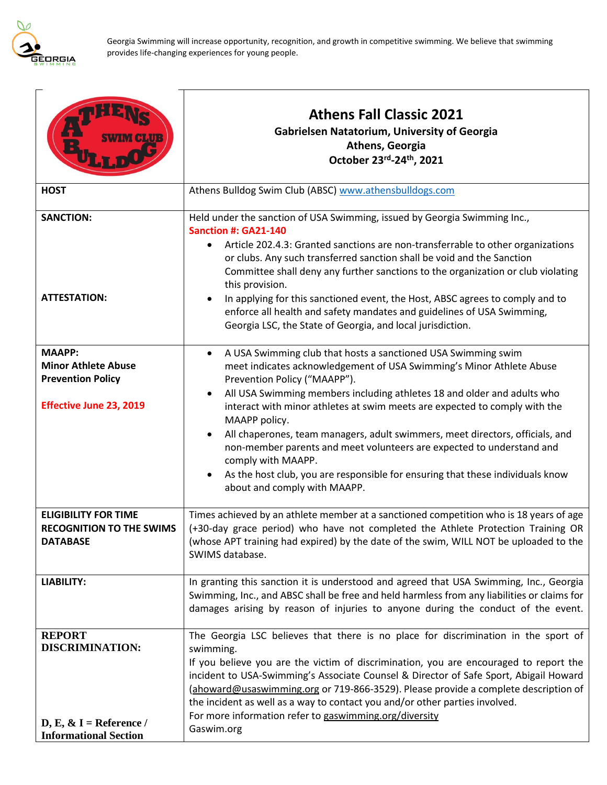

|                                                                                                           | <b>Athens Fall Classic 2021</b><br><b>Gabrielsen Natatorium, University of Georgia</b><br>Athens, Georgia<br>October 23rd-24th, 2021                                                                                                                                                                                                                                                                                                                                                                                                                                                                                                                                                                  |  |
|-----------------------------------------------------------------------------------------------------------|-------------------------------------------------------------------------------------------------------------------------------------------------------------------------------------------------------------------------------------------------------------------------------------------------------------------------------------------------------------------------------------------------------------------------------------------------------------------------------------------------------------------------------------------------------------------------------------------------------------------------------------------------------------------------------------------------------|--|
| <b>HOST</b>                                                                                               | Athens Bulldog Swim Club (ABSC) www.athensbulldogs.com                                                                                                                                                                                                                                                                                                                                                                                                                                                                                                                                                                                                                                                |  |
| <b>SANCTION:</b><br><b>ATTESTATION:</b>                                                                   | Held under the sanction of USA Swimming, issued by Georgia Swimming Inc.,<br><b>Sanction #: GA21-140</b><br>Article 202.4.3: Granted sanctions are non-transferrable to other organizations<br>or clubs. Any such transferred sanction shall be void and the Sanction<br>Committee shall deny any further sanctions to the organization or club violating<br>this provision.<br>In applying for this sanctioned event, the Host, ABSC agrees to comply and to<br>enforce all health and safety mandates and guidelines of USA Swimming,<br>Georgia LSC, the State of Georgia, and local jurisdiction.                                                                                                 |  |
| <b>MAAPP:</b><br><b>Minor Athlete Abuse</b><br><b>Prevention Policy</b><br><b>Effective June 23, 2019</b> | A USA Swimming club that hosts a sanctioned USA Swimming swim<br>$\bullet$<br>meet indicates acknowledgement of USA Swimming's Minor Athlete Abuse<br>Prevention Policy ("MAAPP").<br>All USA Swimming members including athletes 18 and older and adults who<br>$\bullet$<br>interact with minor athletes at swim meets are expected to comply with the<br>MAAPP policy.<br>All chaperones, team managers, adult swimmers, meet directors, officials, and<br>$\bullet$<br>non-member parents and meet volunteers are expected to understand and<br>comply with MAAPP.<br>As the host club, you are responsible for ensuring that these individuals know<br>$\bullet$<br>about and comply with MAAPP. |  |
| <b>ELIGIBILITY FOR TIME</b><br><b>RECOGNITION TO THE SWIMS</b><br><b>DATABASE</b>                         | Times achieved by an athlete member at a sanctioned competition who is 18 years of age<br>(+30-day grace period) who have not completed the Athlete Protection Training OR<br>(whose APT training had expired) by the date of the swim, WILL NOT be uploaded to the<br>SWIMS database.                                                                                                                                                                                                                                                                                                                                                                                                                |  |
| <b>LIABILITY:</b>                                                                                         | In granting this sanction it is understood and agreed that USA Swimming, Inc., Georgia<br>Swimming, Inc., and ABSC shall be free and held harmless from any liabilities or claims for<br>damages arising by reason of injuries to anyone during the conduct of the event.                                                                                                                                                                                                                                                                                                                                                                                                                             |  |
| <b>REPORT</b><br><b>DISCRIMINATION:</b><br>D, E, $\&$ I = Reference /<br><b>Informational Section</b>     | The Georgia LSC believes that there is no place for discrimination in the sport of<br>swimming.<br>If you believe you are the victim of discrimination, you are encouraged to report the<br>incident to USA-Swimming's Associate Counsel & Director of Safe Sport, Abigail Howard<br>(ahoward@usaswimming.org or 719-866-3529). Please provide a complete description of<br>the incident as well as a way to contact you and/or other parties involved.<br>For more information refer to gaswimming.org/diversity<br>Gaswim.org                                                                                                                                                                       |  |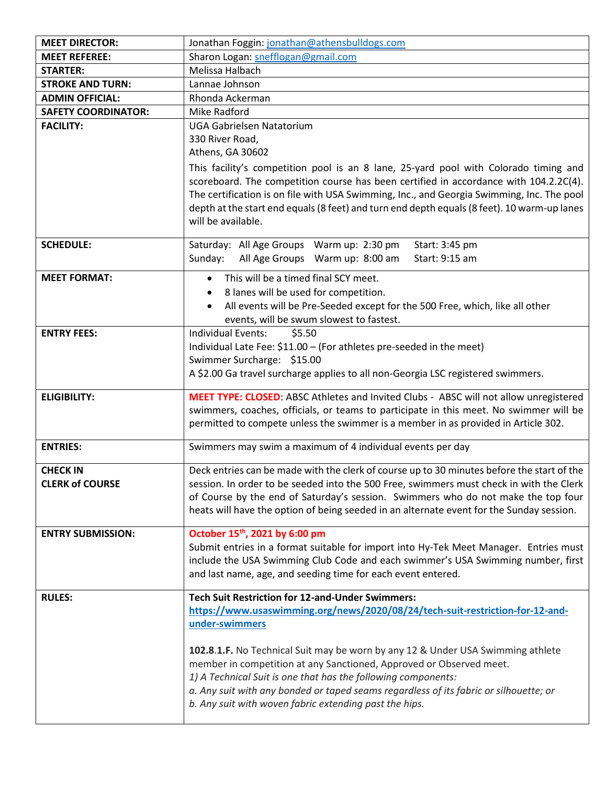| <b>MEET DIRECTOR:</b>                     | Jonathan Foggin: jonathan@athensbulldogs.com                                                                                                                                                                                                                                                                                                                                                                                                                                                                                             |  |  |
|-------------------------------------------|------------------------------------------------------------------------------------------------------------------------------------------------------------------------------------------------------------------------------------------------------------------------------------------------------------------------------------------------------------------------------------------------------------------------------------------------------------------------------------------------------------------------------------------|--|--|
| <b>MEET REFEREE:</b>                      | Sharon Logan: snefflogan@gmail.com                                                                                                                                                                                                                                                                                                                                                                                                                                                                                                       |  |  |
| <b>STARTER:</b>                           | Melissa Halbach                                                                                                                                                                                                                                                                                                                                                                                                                                                                                                                          |  |  |
| <b>STROKE AND TURN:</b>                   | Lannae Johnson                                                                                                                                                                                                                                                                                                                                                                                                                                                                                                                           |  |  |
| <b>ADMIN OFFICIAL:</b>                    | Rhonda Ackerman                                                                                                                                                                                                                                                                                                                                                                                                                                                                                                                          |  |  |
| <b>SAFETY COORDINATOR:</b>                | Mike Radford                                                                                                                                                                                                                                                                                                                                                                                                                                                                                                                             |  |  |
| <b>FACILITY:</b>                          | <b>UGA Gabrielsen Natatorium</b><br>330 River Road,<br>Athens, GA 30602<br>This facility's competition pool is an 8 lane, 25-yard pool with Colorado timing and<br>scoreboard. The competition course has been certified in accordance with 104.2.2C(4).<br>The certification is on file with USA Swimming, Inc., and Georgia Swimming, Inc. The pool<br>depth at the start end equals (8 feet) and turn end depth equals (8 feet). 10 warm-up lanes<br>will be available.                                                               |  |  |
| <b>SCHEDULE:</b>                          | Saturday: All Age Groups Warm up: 2:30 pm<br>Start: 3:45 pm<br>All Age Groups Warm up: 8:00 am<br>Sunday:<br>Start: 9:15 am                                                                                                                                                                                                                                                                                                                                                                                                              |  |  |
| <b>MEET FORMAT:</b>                       | This will be a timed final SCY meet.<br>$\bullet$<br>8 lanes will be used for competition.<br>All events will be Pre-Seeded except for the 500 Free, which, like all other<br>$\bullet$<br>events, will be swum slowest to fastest.                                                                                                                                                                                                                                                                                                      |  |  |
| <b>ENTRY FEES:</b>                        | Individual Events:<br>\$5.50<br>Individual Late Fee: \$11.00 - (For athletes pre-seeded in the meet)<br>Swimmer Surcharge: \$15.00<br>A \$2.00 Ga travel surcharge applies to all non-Georgia LSC registered swimmers.                                                                                                                                                                                                                                                                                                                   |  |  |
| <b>ELIGIBILITY:</b>                       | MEET TYPE: CLOSED: ABSC Athletes and Invited Clubs - ABSC will not allow unregistered<br>swimmers, coaches, officials, or teams to participate in this meet. No swimmer will be<br>permitted to compete unless the swimmer is a member in as provided in Article 302.                                                                                                                                                                                                                                                                    |  |  |
| <b>ENTRIES:</b>                           | Swimmers may swim a maximum of 4 individual events per day                                                                                                                                                                                                                                                                                                                                                                                                                                                                               |  |  |
| <b>CHECK IN</b><br><b>CLERK of COURSE</b> | Deck entries can be made with the clerk of course up to 30 minutes before the start of the<br>session. In order to be seeded into the 500 Free, swimmers must check in with the Clerk<br>of Course by the end of Saturday's session. Swimmers who do not make the top four<br>heats will have the option of being seeded in an alternate event for the Sunday session.                                                                                                                                                                   |  |  |
| <b>ENTRY SUBMISSION:</b>                  | October 15 <sup>th</sup> , 2021 by 6:00 pm<br>Submit entries in a format suitable for import into Hy-Tek Meet Manager. Entries must<br>include the USA Swimming Club Code and each swimmer's USA Swimming number, first<br>and last name, age, and seeding time for each event entered.                                                                                                                                                                                                                                                  |  |  |
| <b>RULES:</b>                             | <b>Tech Suit Restriction for 12-and-Under Swimmers:</b><br>https://www.usaswimming.org/news/2020/08/24/tech-suit-restriction-for-12-and-<br>under-swimmers<br>102.8.1.F. No Technical Suit may be worn by any 12 & Under USA Swimming athlete<br>member in competition at any Sanctioned, Approved or Observed meet.<br>1) A Technical Suit is one that has the following components:<br>a. Any suit with any bonded or taped seams regardless of its fabric or silhouette; or<br>b. Any suit with woven fabric extending past the hips. |  |  |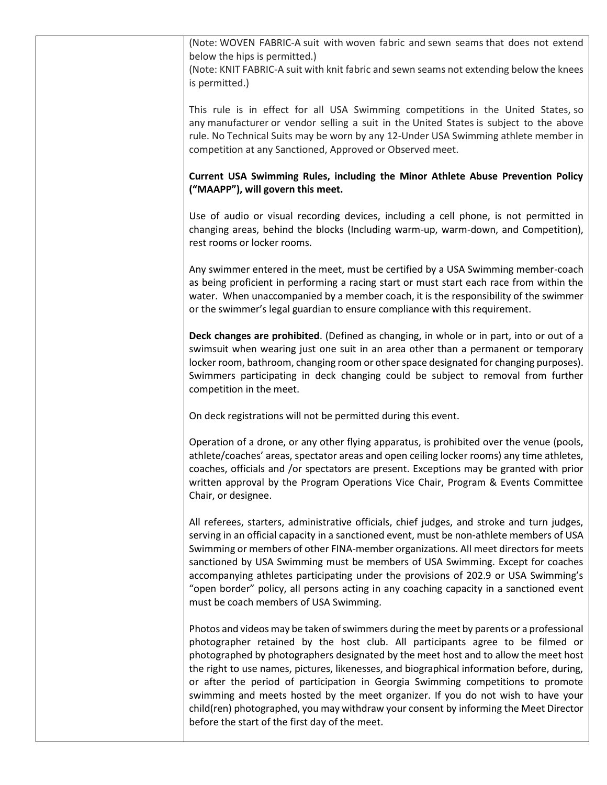| (Note: WOVEN FABRIC-A suit with woven fabric and sewn seams that does not extend<br>below the hips is permitted.)<br>(Note: KNIT FABRIC-A suit with knit fabric and sewn seams not extending below the knees<br>is permitted.)                                                                                                                                                                                                                                                                                                                                                                                                                                                     |
|------------------------------------------------------------------------------------------------------------------------------------------------------------------------------------------------------------------------------------------------------------------------------------------------------------------------------------------------------------------------------------------------------------------------------------------------------------------------------------------------------------------------------------------------------------------------------------------------------------------------------------------------------------------------------------|
| This rule is in effect for all USA Swimming competitions in the United States, so<br>any manufacturer or vendor selling a suit in the United States is subject to the above<br>rule. No Technical Suits may be worn by any 12-Under USA Swimming athlete member in<br>competition at any Sanctioned, Approved or Observed meet.                                                                                                                                                                                                                                                                                                                                                    |
| Current USA Swimming Rules, including the Minor Athlete Abuse Prevention Policy<br>("MAAPP"), will govern this meet.                                                                                                                                                                                                                                                                                                                                                                                                                                                                                                                                                               |
| Use of audio or visual recording devices, including a cell phone, is not permitted in<br>changing areas, behind the blocks (Including warm-up, warm-down, and Competition),<br>rest rooms or locker rooms.                                                                                                                                                                                                                                                                                                                                                                                                                                                                         |
| Any swimmer entered in the meet, must be certified by a USA Swimming member-coach<br>as being proficient in performing a racing start or must start each race from within the<br>water. When unaccompanied by a member coach, it is the responsibility of the swimmer<br>or the swimmer's legal guardian to ensure compliance with this requirement.                                                                                                                                                                                                                                                                                                                               |
| Deck changes are prohibited. (Defined as changing, in whole or in part, into or out of a<br>swimsuit when wearing just one suit in an area other than a permanent or temporary<br>locker room, bathroom, changing room or other space designated for changing purposes).<br>Swimmers participating in deck changing could be subject to removal from further<br>competition in the meet.                                                                                                                                                                                                                                                                                           |
| On deck registrations will not be permitted during this event.                                                                                                                                                                                                                                                                                                                                                                                                                                                                                                                                                                                                                     |
| Operation of a drone, or any other flying apparatus, is prohibited over the venue (pools,<br>athlete/coaches' areas, spectator areas and open ceiling locker rooms) any time athletes,<br>coaches, officials and /or spectators are present. Exceptions may be granted with prior<br>written approval by the Program Operations Vice Chair, Program & Events Committee<br>Chair, or designee.                                                                                                                                                                                                                                                                                      |
| All referees, starters, administrative officials, chief judges, and stroke and turn judges,<br>serving in an official capacity in a sanctioned event, must be non-athlete members of USA<br>Swimming or members of other FINA-member organizations. All meet directors for meets<br>sanctioned by USA Swimming must be members of USA Swimming. Except for coaches<br>accompanying athletes participating under the provisions of 202.9 or USA Swimming's<br>"open border" policy, all persons acting in any coaching capacity in a sanctioned event<br>must be coach members of USA Swimming.                                                                                     |
| Photos and videos may be taken of swimmers during the meet by parents or a professional<br>photographer retained by the host club. All participants agree to be filmed or<br>photographed by photographers designated by the meet host and to allow the meet host<br>the right to use names, pictures, likenesses, and biographical information before, during,<br>or after the period of participation in Georgia Swimming competitions to promote<br>swimming and meets hosted by the meet organizer. If you do not wish to have your<br>child(ren) photographed, you may withdraw your consent by informing the Meet Director<br>before the start of the first day of the meet. |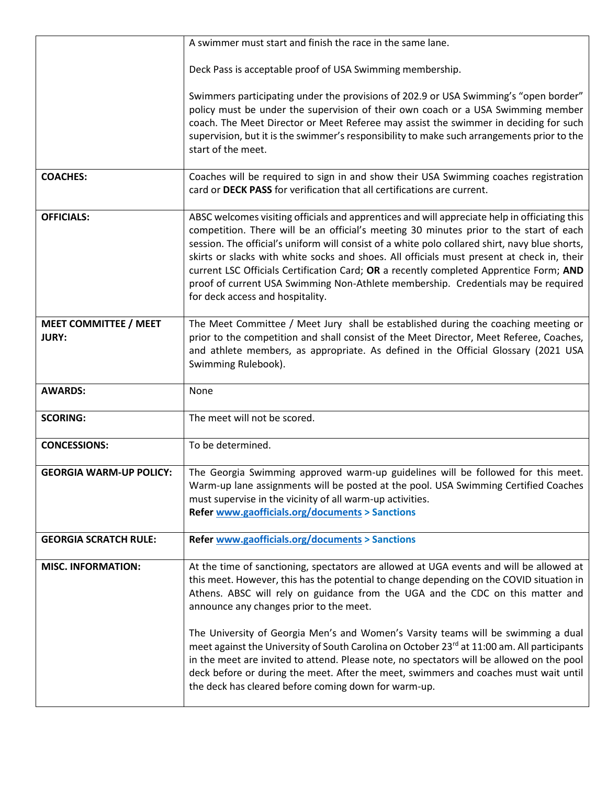|                                              | A swimmer must start and finish the race in the same lane.                                                                                                                                                                                                                                                                                                                                                                                                                                                                                                                                                 |  |
|----------------------------------------------|------------------------------------------------------------------------------------------------------------------------------------------------------------------------------------------------------------------------------------------------------------------------------------------------------------------------------------------------------------------------------------------------------------------------------------------------------------------------------------------------------------------------------------------------------------------------------------------------------------|--|
|                                              | Deck Pass is acceptable proof of USA Swimming membership.                                                                                                                                                                                                                                                                                                                                                                                                                                                                                                                                                  |  |
|                                              | Swimmers participating under the provisions of 202.9 or USA Swimming's "open border"<br>policy must be under the supervision of their own coach or a USA Swimming member<br>coach. The Meet Director or Meet Referee may assist the swimmer in deciding for such<br>supervision, but it is the swimmer's responsibility to make such arrangements prior to the<br>start of the meet.                                                                                                                                                                                                                       |  |
| <b>COACHES:</b>                              | Coaches will be required to sign in and show their USA Swimming coaches registration<br>card or DECK PASS for verification that all certifications are current.                                                                                                                                                                                                                                                                                                                                                                                                                                            |  |
| <b>OFFICIALS:</b>                            | ABSC welcomes visiting officials and apprentices and will appreciate help in officiating this<br>competition. There will be an official's meeting 30 minutes prior to the start of each<br>session. The official's uniform will consist of a white polo collared shirt, navy blue shorts,<br>skirts or slacks with white socks and shoes. All officials must present at check in, their<br>current LSC Officials Certification Card; OR a recently completed Apprentice Form; AND<br>proof of current USA Swimming Non-Athlete membership. Credentials may be required<br>for deck access and hospitality. |  |
| <b>MEET COMMITTEE / MEET</b><br><b>JURY:</b> | The Meet Committee / Meet Jury shall be established during the coaching meeting or<br>prior to the competition and shall consist of the Meet Director, Meet Referee, Coaches,<br>and athlete members, as appropriate. As defined in the Official Glossary (2021 USA<br>Swimming Rulebook).                                                                                                                                                                                                                                                                                                                 |  |
| <b>AWARDS:</b>                               | None                                                                                                                                                                                                                                                                                                                                                                                                                                                                                                                                                                                                       |  |
| <b>SCORING:</b>                              | The meet will not be scored.                                                                                                                                                                                                                                                                                                                                                                                                                                                                                                                                                                               |  |
| <b>CONCESSIONS:</b>                          | To be determined.                                                                                                                                                                                                                                                                                                                                                                                                                                                                                                                                                                                          |  |
| <b>GEORGIA WARM-UP POLICY:</b>               | The Georgia Swimming approved warm-up guidelines will be followed for this meet.<br>Warm-up lane assignments will be posted at the pool. USA Swimming Certified Coaches<br>must supervise in the vicinity of all warm-up activities.<br><b>Refer www.gaofficials.org/documents &gt; Sanctions</b>                                                                                                                                                                                                                                                                                                          |  |
| <b>GEORGIA SCRATCH RULE:</b>                 | <b>Refer www.gaofficials.org/documents &gt; Sanctions</b>                                                                                                                                                                                                                                                                                                                                                                                                                                                                                                                                                  |  |
| <b>MISC. INFORMATION:</b>                    | At the time of sanctioning, spectators are allowed at UGA events and will be allowed at<br>this meet. However, this has the potential to change depending on the COVID situation in<br>Athens. ABSC will rely on guidance from the UGA and the CDC on this matter and<br>announce any changes prior to the meet.<br>The University of Georgia Men's and Women's Varsity teams will be swimming a dual                                                                                                                                                                                                      |  |
|                                              | meet against the University of South Carolina on October 23rd at 11:00 am. All participants<br>in the meet are invited to attend. Please note, no spectators will be allowed on the pool<br>deck before or during the meet. After the meet, swimmers and coaches must wait until<br>the deck has cleared before coming down for warm-up.                                                                                                                                                                                                                                                                   |  |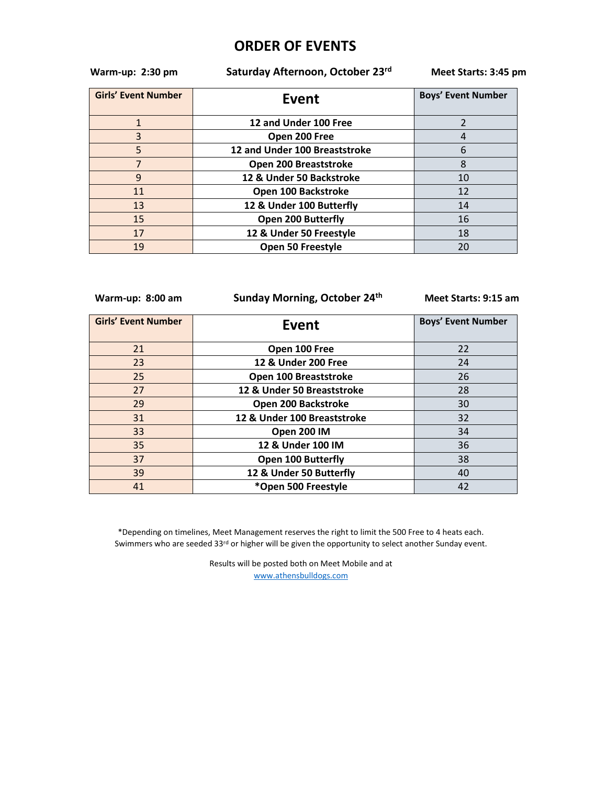## **ORDER OF EVENTS**

 **Warm-up: 2:30 pm Saturday Afternoon, October 23rd**

 **Meet Starts: 3:45 pm**

| <b>Girls' Event Number</b> | Event                         | <b>Boys' Event Number</b> |
|----------------------------|-------------------------------|---------------------------|
|                            | 12 and Under 100 Free         |                           |
| 3                          | Open 200 Free                 |                           |
| 5                          | 12 and Under 100 Breaststroke | 6                         |
| $\overline{7}$             | Open 200 Breaststroke         |                           |
| q                          | 12 & Under 50 Backstroke      | 10                        |
| 11                         | Open 100 Backstroke           | 12                        |
| 13                         | 12 & Under 100 Butterfly      | 14                        |
| 15                         | <b>Open 200 Butterfly</b>     | 16                        |
| 17                         | 12 & Under 50 Freestyle       | 18                        |
| 19                         | Open 50 Freestyle             | 20                        |

 **Warm-up: 8:00 am Sunday Morning, October 24th**

 **Meet Starts: 9:15 am**

| <b>Girls' Event Number</b> | Event                       | <b>Boys' Event Number</b> |
|----------------------------|-----------------------------|---------------------------|
| 21                         | Open 100 Free               | 22                        |
| 23                         | 12 & Under 200 Free         | 24                        |
| 25                         | Open 100 Breaststroke       | 26                        |
| 27                         | 12 & Under 50 Breaststroke  | 28                        |
| 29                         | Open 200 Backstroke         | 30                        |
| 31                         | 12 & Under 100 Breaststroke | 32                        |
| 33                         | Open 200 IM                 | 34                        |
| 35                         | 12 & Under 100 IM           | 36                        |
| 37                         | <b>Open 100 Butterfly</b>   | 38                        |
| 39                         | 12 & Under 50 Butterfly     | 40                        |
| 41                         | *Open 500 Freestyle         | 42                        |

\*Depending on timelines, Meet Management reserves the right to limit the 500 Free to 4 heats each. Swimmers who are seeded 33rd or higher will be given the opportunity to select another Sunday event.

> Results will be posted both on Meet Mobile and at [www.athensbulldogs.com](about:blank)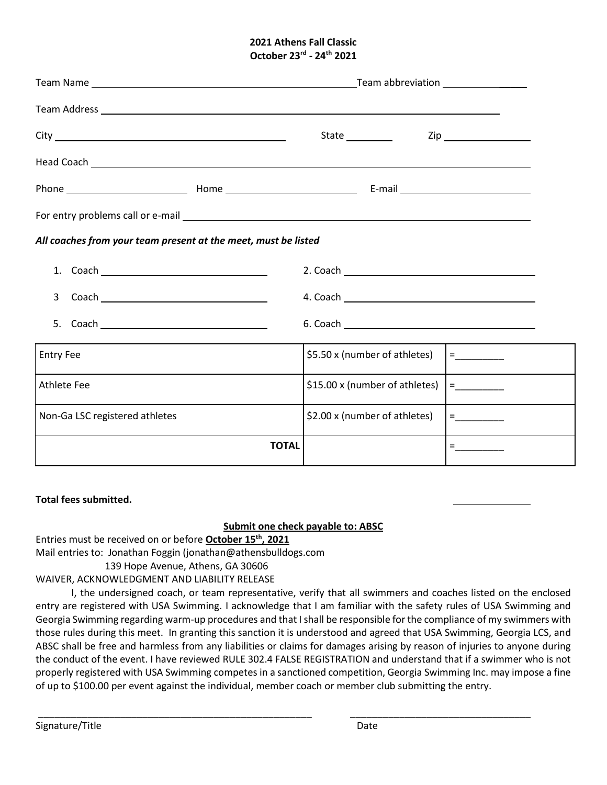#### **2021 Athens Fall Classic October 23rd - 24th 2021**

|                                                                | State <u>Constantine Zip</u> Zip |  |  |  |
|----------------------------------------------------------------|----------------------------------|--|--|--|
|                                                                |                                  |  |  |  |
|                                                                |                                  |  |  |  |
|                                                                |                                  |  |  |  |
| All coaches from your team present at the meet, must be listed |                                  |  |  |  |
|                                                                |                                  |  |  |  |
|                                                                |                                  |  |  |  |
| 5.                                                             |                                  |  |  |  |
| <b>Entry Fee</b>                                               | \$5.50 x (number of athletes)    |  |  |  |
| <b>Athlete Fee</b>                                             | \$15.00 x (number of athletes)   |  |  |  |
| Non-Ga LSC registered athletes                                 | \$2.00 x (number of athletes)    |  |  |  |
| <b>TOTAL</b>                                                   |                                  |  |  |  |

### **Total fees submitted.**

### **Submit one check payable to: ABSC**

Entries must be received on or before **October 15th, 2021**

Mail entries to: Jonathan Foggin (jonathan@athensbulldogs.com

139 Hope Avenue, Athens, GA 30606

### WAIVER, ACKNOWLEDGMENT AND LIABILITY RELEASE

I, the undersigned coach, or team representative, verify that all swimmers and coaches listed on the enclosed entry are registered with USA Swimming. I acknowledge that I am familiar with the safety rules of USA Swimming and Georgia Swimming regarding warm-up procedures and that I shall be responsible for the compliance of my swimmers with those rules during this meet. In granting this sanction it is understood and agreed that USA Swimming, Georgia LCS, and ABSC shall be free and harmless from any liabilities or claims for damages arising by reason of injuries to anyone during the conduct of the event. I have reviewed RULE 302.4 FALSE REGISTRATION and understand that if a swimmer who is not properly registered with USA Swimming competes in a sanctioned competition, Georgia Swimming Inc. may impose a fine of up to \$100.00 per event against the individual, member coach or member club submitting the entry.

\_\_\_\_\_\_\_\_\_\_\_\_\_\_\_\_\_\_\_\_\_\_\_\_\_\_\_\_\_\_\_\_\_\_\_\_\_\_\_\_\_\_\_\_\_\_\_\_\_\_ \_\_\_\_\_\_\_\_\_\_\_\_\_\_\_\_\_\_\_\_\_\_\_\_\_\_\_\_\_\_\_\_\_